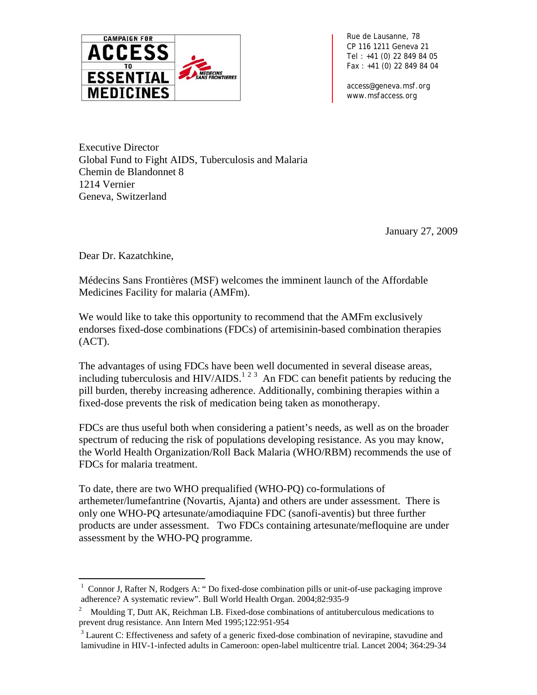

*Rue de Lausanne, 78 CP 116 1211 Geneva 21 Tel : +41 (0) 22 849 84 05 Fax : +41 (0) 22 849 84 04* 

*access@geneva.msf.org www.msfaccess.org*

Executive Director Global Fund to Fight AIDS, Tuberculosis and Malaria Chemin de Blandonnet 8 1214 Vernier Geneva, Switzerland

January 27, 2009

Dear Dr. Kazatchkine,

 $\overline{a}$ 

Médecins Sans Frontières (MSF) welcomes the imminent launch of the Affordable Medicines Facility for malaria (AMFm).

We would like to take this opportunity to recommend that the AMFm exclusively endorses fixed-dose combinations (FDCs) of artemisinin-based combination therapies (ACT).

The advantages of using FDCs have been well documented in several disease areas, including tuberculosis and HIV/AIDS.<sup>[1](#page-0-0)[2](#page-0-1)3</sup>An FDC can benefit patients by reducing the pill burden, thereby increasing adherence. Additionally, combining therapies within a fixed-dose prevents the risk of medication being taken as monotherapy.

FDCs are thus useful both when considering a patient's needs, as well as on the broader spectrum of reducing the risk of populations developing resistance. As you may know, the World Health Organization/Roll Back Malaria (WHO/RBM) recommends the use of FDCs for malaria treatment.

To date, there are two WHO prequalified (WHO-PQ) co-formulations of arthemeter/lumefantrine (Novartis, Ajanta) and others are under assessment. There is only one WHO-PQ artesunate/amodiaquine FDC (sanofi-aventis) but three further products are under assessment. Two FDCs containing artesunate/mefloquine are under assessment by the WHO-PQ programme.

<span id="page-0-0"></span><sup>&</sup>lt;sup>1</sup> Connor J, Rafter N, Rodgers A: "Do fixed-dose combination pills or unit-of-use packaging improve adherence? A systematic review". Bull World Health Organ. 2004;82:935-9

<span id="page-0-1"></span><sup>&</sup>lt;sup>2</sup> Moulding T, Dutt AK, Reichman LB. Fixed-dose combinations of antituberculous medications to prevent drug resistance. Ann Intern Med 1995;122:951-954

<span id="page-0-2"></span> $3$  Laurent C: Effectiveness and safety of a generic fixed-dose combination of nevirapine, stavudine and lamivudine in HIV-1-infected adults in Cameroon: open-label multicentre trial. Lancet 2004; 364:29-34